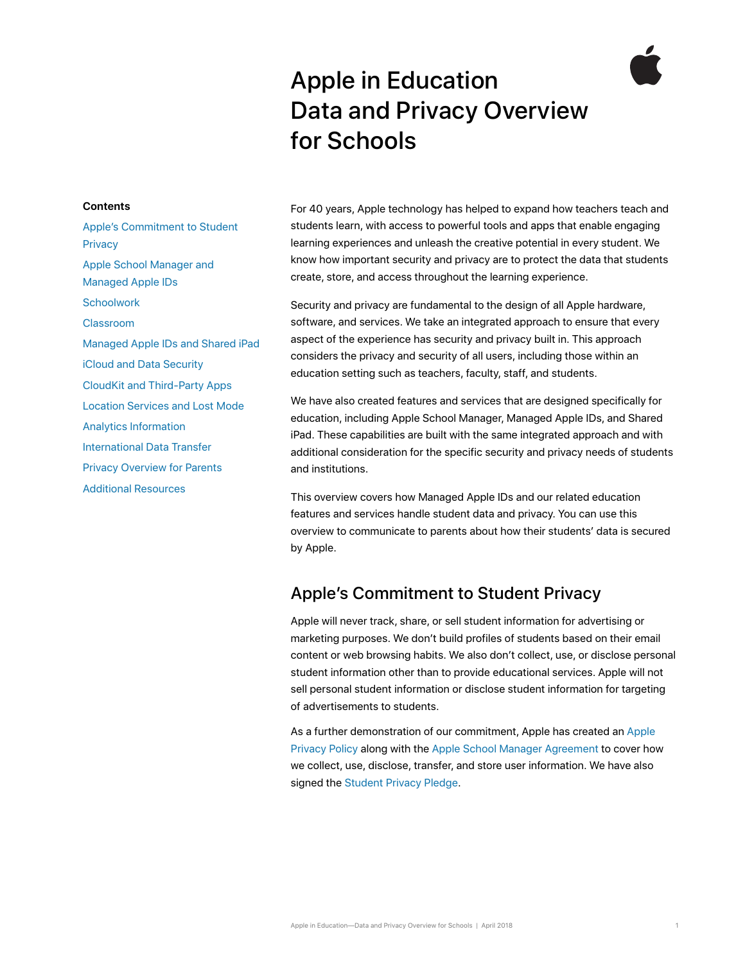# Apple in Education Data and Privacy Overview for Schools

#### **Contents**

[Apple's Commitment to Student](#page-0-0)  **[Privacy](#page-0-0)** [Apple School Manager and](#page-1-0)  [Managed Apple IDs](#page-1-0) **[Schoolwork](#page-2-0)** [Classroom](#page-3-0) [Managed Apple IDs and Shared iPad](#page-3-1) [iCloud and Data Security](#page-4-0) [CloudKit and Third-Party Apps](#page-4-1) [Location Services and Lost Mode](#page-5-0) [Analytics Information](#page-6-0) [International Data Transfer](#page-6-1) [Privacy Overview for Parents](#page-6-2) [Additional Resources](#page-7-0)

For 40 years, Apple technology has helped to expand how teachers teach and students learn, with access to powerful tools and apps that enable engaging learning experiences and unleash the creative potential in every student. We know how important security and privacy are to protect the data that students create, store, and access throughout the learning experience.

Security and privacy are fundamental to the design of all Apple hardware, software, and services. We take an integrated approach to ensure that every aspect of the experience has security and privacy built in. This approach considers the privacy and security of all users, including those within an education setting such as teachers, faculty, staff, and students.

We have also created features and services that are designed specifically for education, including Apple School Manager, Managed Apple IDs, and Shared iPad. These capabilities are built with the same integrated approach and with additional consideration for the specific security and privacy needs of students and institutions.

This overview covers how Managed Apple IDs and our related education features and services handle student data and privacy. You can use this overview to communicate to parents about how their students' data is secured by Apple.

# <span id="page-0-0"></span>Apple's Commitment to Student Privacy

Apple will never track, share, or sell student information for advertising or marketing purposes. We don't build profiles of students based on their email content or web browsing habits. We also don't collect, use, or disclose personal student information other than to provide educational services. Apple will not sell personal student information or disclose student information for targeting of advertisements to students.

As a further demonstration of our commitment, Apple has created an [Apple](http://www.apple.com/privacy)  [Privacy Policy](http://www.apple.com/privacy) along with the [Apple School Manager Agreement](http://www.apple.com/legal/education/apple-school-manager/) to cover how we collect, use, disclose, transfer, and store user information. We have also signed the [Student Privacy Pledge.](https://studentprivacypledge.org/?page_id=45.d)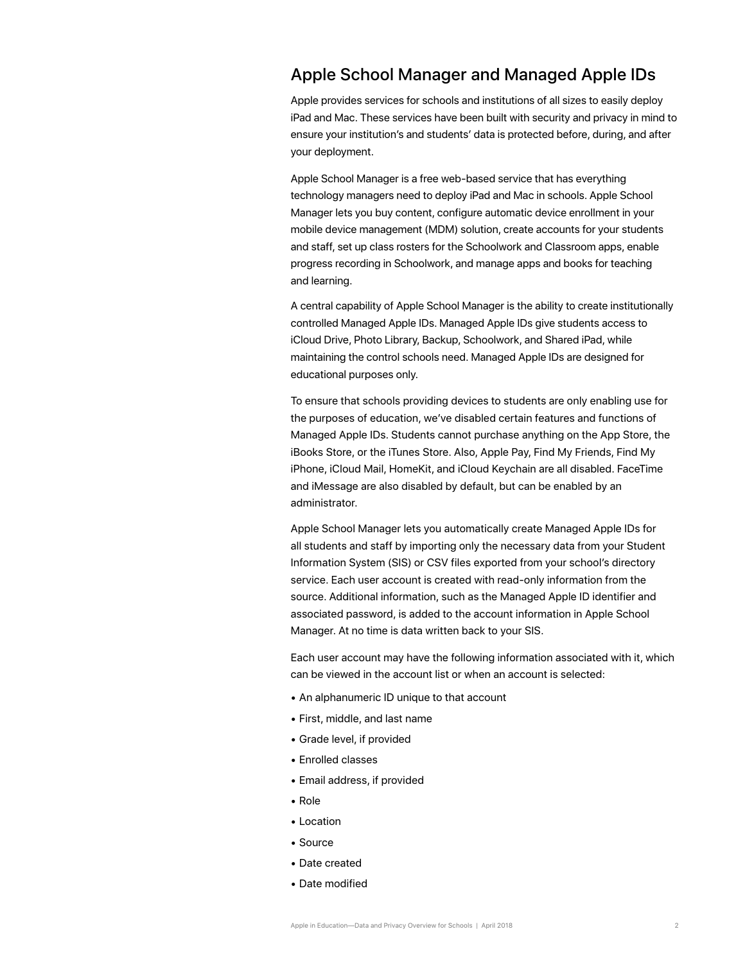# <span id="page-1-0"></span>Apple School Manager and Managed Apple IDs

Apple provides services for schools and institutions of all sizes to easily deploy iPad and Mac. These services have been built with security and privacy in mind to ensure your institution's and students' data is protected before, during, and after your deployment.

Apple School Manager is a free web-based service that has everything technology managers need to deploy iPad and Mac in schools. Apple School Manager lets you buy content, configure automatic device enrollment in your mobile device management (MDM) solution, create accounts for your students and staff, set up class rosters for the Schoolwork and Classroom apps, enable progress recording in Schoolwork, and manage apps and books for teaching and learning.

A central capability of Apple School Manager is the ability to create institutionally controlled Managed Apple IDs. Managed Apple IDs give students access to iCloud Drive, Photo Library, Backup, Schoolwork, and Shared iPad, while maintaining the control schools need. Managed Apple IDs are designed for educational purposes only.

To ensure that schools providing devices to students are only enabling use for the purposes of education, we've disabled certain features and functions of Managed Apple IDs. Students cannot purchase anything on the App Store, the iBooks Store, or the iTunes Store. Also, Apple Pay, Find My Friends, Find My iPhone, iCloud Mail, HomeKit, and iCloud Keychain are all disabled. FaceTime and iMessage are also disabled by default, but can be enabled by an administrator.

Apple School Manager lets you automatically create Managed Apple IDs for all students and staff by importing only the necessary data from your Student Information System (SIS) or CSV files exported from your school's directory service. Each user account is created with read-only information from the source. Additional information, such as the Managed Apple ID identifier and associated password, is added to the account information in Apple School Manager. At no time is data written back to your SIS.

Each user account may have the following information associated with it, which can be viewed in the account list or when an account is selected:

- An alphanumeric ID unique to that account
- First, middle, and last name
- Grade level, if provided
- Enrolled classes
- Email address, if provided
- Role
- Location
- Source
- Date created
- Date modified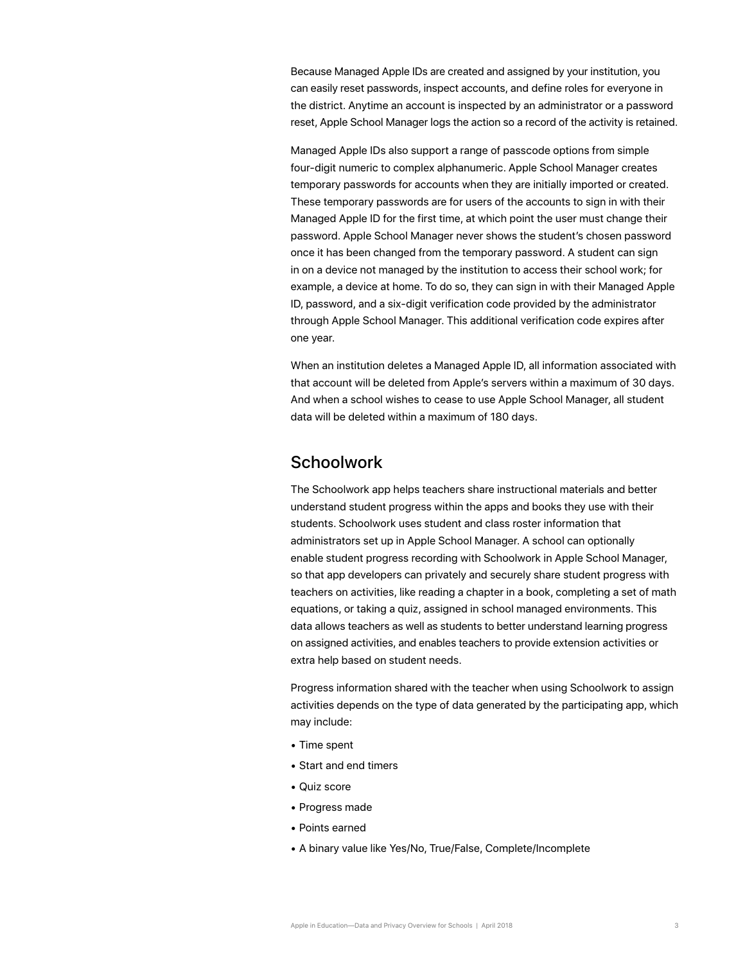Because Managed Apple IDs are created and assigned by your institution, you can easily reset passwords, inspect accounts, and define roles for everyone in the district. Anytime an account is inspected by an administrator or a password reset, Apple School Manager logs the action so a record of the activity is retained.

Managed Apple IDs also support a range of passcode options from simple four-digit numeric to complex alphanumeric. Apple School Manager creates temporary passwords for accounts when they are initially imported or created. These temporary passwords are for users of the accounts to sign in with their Managed Apple ID for the first time, at which point the user must change their password. Apple School Manager never shows the student's chosen password once it has been changed from the temporary password. A student can sign in on a device not managed by the institution to access their school work; for example, a device at home. To do so, they can sign in with their Managed Apple ID, password, and a six-digit verification code provided by the administrator through Apple School Manager. This additional verification code expires after one year.

When an institution deletes a Managed Apple ID, all information associated with that account will be deleted from Apple's servers within a maximum of 30 days. And when a school wishes to cease to use Apple School Manager, all student data will be deleted within a maximum of 180 days.

#### <span id="page-2-0"></span>**Schoolwork**

The Schoolwork app helps teachers share instructional materials and better understand student progress within the apps and books they use with their students. Schoolwork uses student and class roster information that administrators set up in Apple School Manager. A school can optionally enable student progress recording with Schoolwork in Apple School Manager, so that app developers can privately and securely share student progress with teachers on activities, like reading a chapter in a book, completing a set of math equations, or taking a quiz, assigned in school managed environments. This data allows teachers as well as students to better understand learning progress on assigned activities, and enables teachers to provide extension activities or extra help based on student needs.

Progress information shared with the teacher when using Schoolwork to assign activities depends on the type of data generated by the participating app, which may include:

- Time spent
- Start and end timers
- Quiz score
- Progress made
- Points earned
- A binary value like Yes/No, True/False, Complete/Incomplete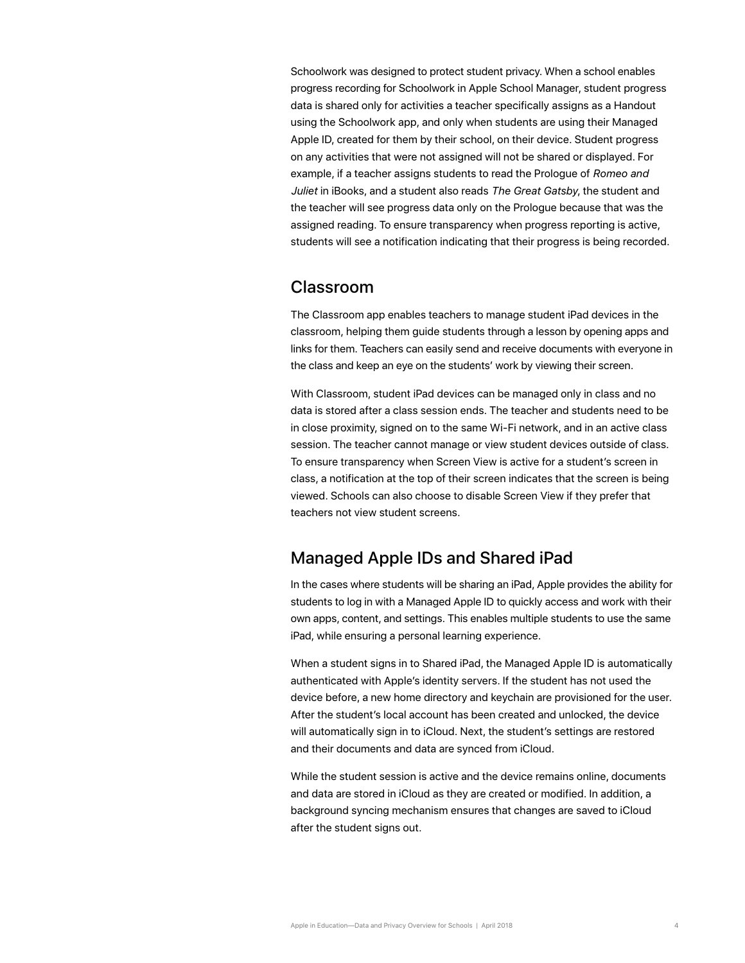Schoolwork was designed to protect student privacy. When a school enables progress recording for Schoolwork in Apple School Manager, student progress data is shared only for activities a teacher specifically assigns as a Handout using the Schoolwork app, and only when students are using their Managed Apple ID, created for them by their school, on their device. Student progress on any activities that were not assigned will not be shared or displayed. For example, if a teacher assigns students to read the Prologue of *Romeo and Juliet* in iBooks, and a student also reads *The Great Gatsby*, the student and the teacher will see progress data only on the Prologue because that was the assigned reading. To ensure transparency when progress reporting is active, students will see a notification indicating that their progress is being recorded.

#### <span id="page-3-0"></span>Classroom

The Classroom app enables teachers to manage student iPad devices in the classroom, helping them guide students through a lesson by opening apps and links for them. Teachers can easily send and receive documents with everyone in the class and keep an eye on the students' work by viewing their screen.

With Classroom, student iPad devices can be managed only in class and no data is stored after a class session ends. The teacher and students need to be in close proximity, signed on to the same Wi-Fi network, and in an active class session. The teacher cannot manage or view student devices outside of class. To ensure transparency when Screen View is active for a student's screen in class, a notification at the top of their screen indicates that the screen is being viewed. Schools can also choose to disable Screen View if they prefer that teachers not view student screens.

#### <span id="page-3-1"></span>Managed Apple IDs and Shared iPad

In the cases where students will be sharing an iPad, Apple provides the ability for students to log in with a Managed Apple ID to quickly access and work with their own apps, content, and settings. This enables multiple students to use the same iPad, while ensuring a personal learning experience.

When a student signs in to Shared iPad, the Managed Apple ID is automatically authenticated with Apple's identity servers. If the student has not used the device before, a new home directory and keychain are provisioned for the user. After the student's local account has been created and unlocked, the device will automatically sign in to iCloud. Next, the student's settings are restored and their documents and data are synced from iCloud.

While the student session is active and the device remains online, documents and data are stored in iCloud as they are created or modified. In addition, a background syncing mechanism ensures that changes are saved to iCloud after the student signs out.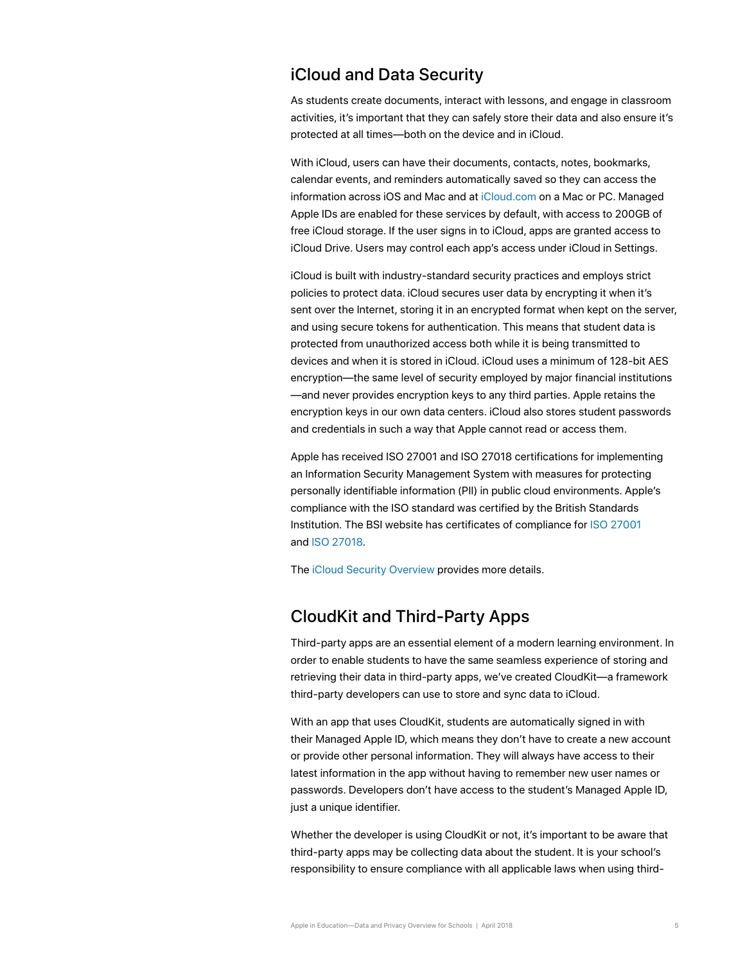#### <span id="page-4-0"></span>iCloud and Data Security

As students create documents, interact with lessons, and engage in classroom activities, it's important that they can safely store their data and also ensure it's protected at all times—both on the device and in iCloud.

With iCloud, users can have their documents, contacts, notes, bookmarks, calendar events, and reminders automatically saved so they can access the information across iOS and Mac and at [iCloud.com](http://icloud.com) on a Mac or PC. Managed Apple IDs are enabled for these services by default, with access to 200GB of free iCloud storage. If the user signs in to iCloud, apps are granted access to iCloud Drive. Users may control each app's access under iCloud in Settings.

iCloud is built with industry-standard security practices and employs strict policies to protect data. iCloud secures user data by encrypting it when it's sent over the Internet, storing it in an encrypted format when kept on the server, and using secure tokens for authentication. This means that student data is protected from unauthorized access both while it is being transmitted to devices and when it is stored in iCloud. iCloud uses a minimum of 128-bit AES encryption—the same level of security employed by major financial institutions —and never provides encryption keys to any third parties. Apple retains the encryption keys in our own data centers. iCloud also stores student passwords and credentials in such a way that Apple cannot read or access them.

Apple has received ISO 27001 and ISO 27018 certifications for implementing an Information Security Management System with measures for protecting personally identifiable information (PII) in public cloud environments. Apple's compliance with the ISO standard was certified by the British Standards Institution. The BSI website has certificates of compliance for [ISO 27001](http://www.bsigroup.com/en-GB/our-services/certification/certificate-and-client-directory/search-results/?searchkey=company=apple&licencenumber=IS+649475) and [ISO 27018](https://www.bsigroup.com/en-GB/our-services/certification/certificate-and-client-directory/search-results/?searchkey=company=Apple&licencenumber=PII%20673269).

The [iCloud Security Overview](https://support.apple.com/en-us/HT202303) provides more details.

# <span id="page-4-1"></span>CloudKit and Third-Party Apps

Third-party apps are an essential element of a modern learning environment. In order to enable students to have the same seamless experience of storing and retrieving their data in third-party apps, we've created CloudKit—a framework third-party developers can use to store and sync data to iCloud.

With an app that uses CloudKit, students are automatically signed in with their Managed Apple ID, which means they don't have to create a new account or provide other personal information. They will always have access to their latest information in the app without having to remember new user names or passwords. Developers don't have access to the student's Managed Apple ID, just a unique identifier.

Whether the developer is using CloudKit or not, it's important to be aware that third-party apps may be collecting data about the student. It is your school's responsibility to ensure compliance with all applicable laws when using third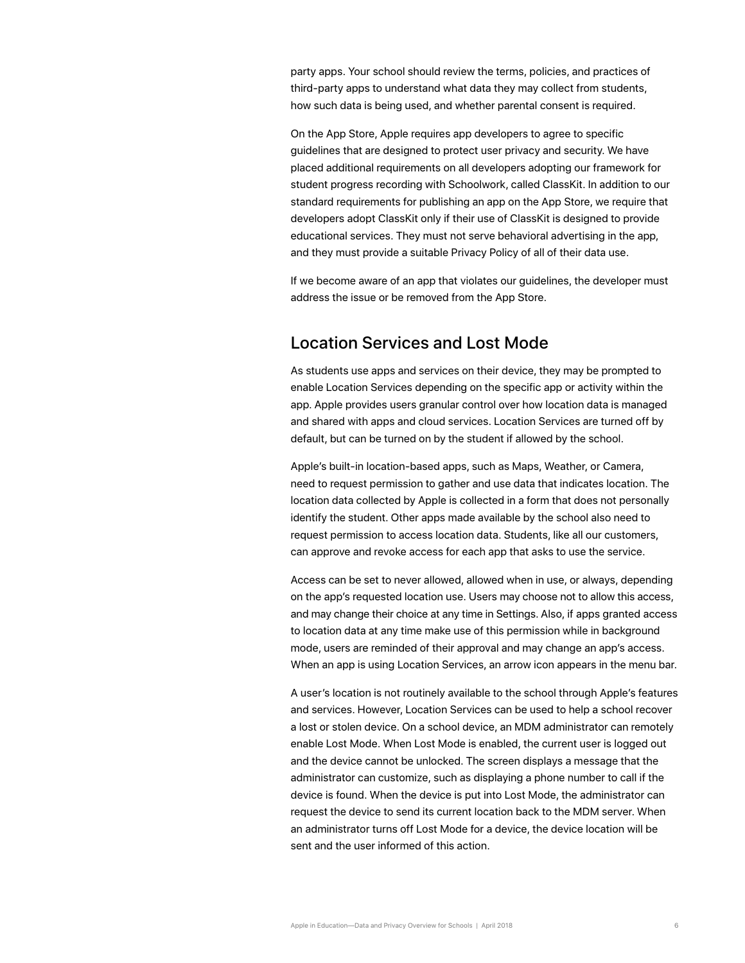party apps. Your school should review the terms, policies, and practices of third-party apps to understand what data they may collect from students, how such data is being used, and whether parental consent is required.

On the App Store, Apple requires app developers to agree to specific guidelines that are designed to protect user privacy and security. We have placed additional requirements on all developers adopting our framework for student progress recording with Schoolwork, called ClassKit. In addition to our standard requirements for publishing an app on the App Store, we require that developers adopt ClassKit only if their use of ClassKit is designed to provide educational services. They must not serve behavioral advertising in the app, and they must provide a suitable Privacy Policy of all of their data use.

If we become aware of an app that violates our guidelines, the developer must address the issue or be removed from the App Store.

## <span id="page-5-0"></span>Location Services and Lost Mode

As students use apps and services on their device, they may be prompted to enable Location Services depending on the specific app or activity within the app. Apple provides users granular control over how location data is managed and shared with apps and cloud services. Location Services are turned off by default, but can be turned on by the student if allowed by the school.

Apple's built-in location-based apps, such as Maps, Weather, or Camera, need to request permission to gather and use data that indicates location. The location data collected by Apple is collected in a form that does not personally identify the student. Other apps made available by the school also need to request permission to access location data. Students, like all our customers, can approve and revoke access for each app that asks to use the service.

Access can be set to never allowed, allowed when in use, or always, depending on the app's requested location use. Users may choose not to allow this access, and may change their choice at any time in Settings. Also, if apps granted access to location data at any time make use of this permission while in background mode, users are reminded of their approval and may change an app's access. When an app is using Location Services, an arrow icon appears in the menu bar.

A user's location is not routinely available to the school through Apple's features and services. However, Location Services can be used to help a school recover a lost or stolen device. On a school device, an MDM administrator can remotely enable Lost Mode. When Lost Mode is enabled, the current user is logged out and the device cannot be unlocked. The screen displays a message that the administrator can customize, such as displaying a phone number to call if the device is found. When the device is put into Lost Mode, the administrator can request the device to send its current location back to the MDM server. When an administrator turns off Lost Mode for a device, the device location will be sent and the user informed of this action.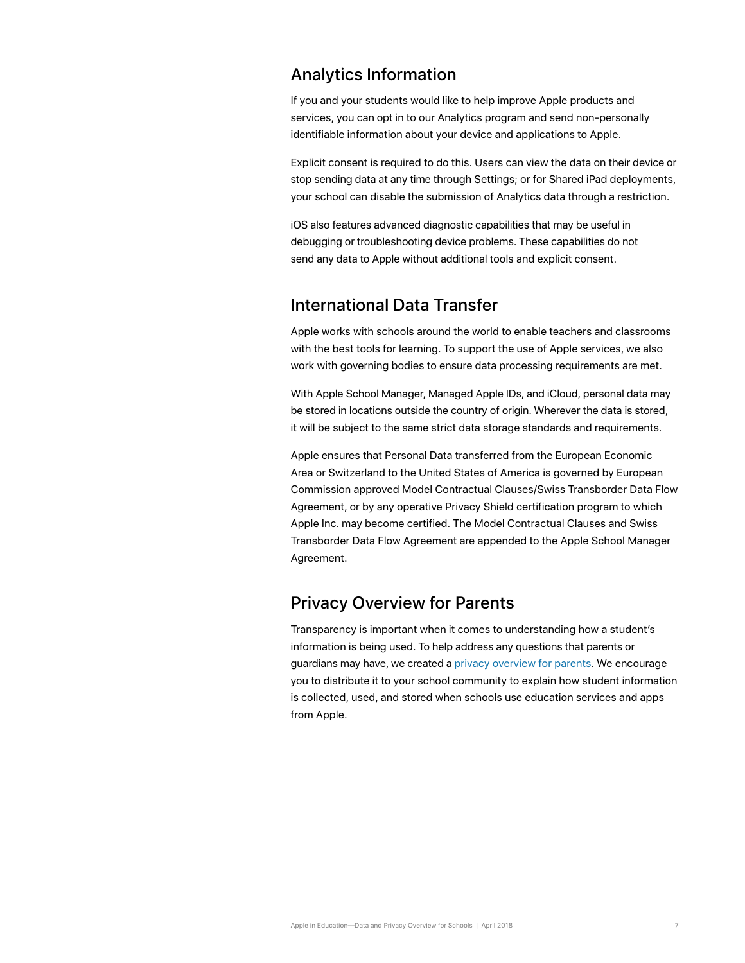#### <span id="page-6-0"></span>Analytics Information

If you and your students would like to help improve Apple products and services, you can opt in to our Analytics program and send non-personally identifiable information about your device and applications to Apple.

Explicit consent is required to do this. Users can view the data on their device or stop sending data at any time through Settings; or for Shared iPad deployments, your school can disable the submission of Analytics data through a restriction.

iOS also features advanced diagnostic capabilities that may be useful in debugging or troubleshooting device problems. These capabilities do not send any data to Apple without additional tools and explicit consent.

# <span id="page-6-1"></span>International Data Transfer

Apple works with schools around the world to enable teachers and classrooms with the best tools for learning. To support the use of Apple services, we also work with governing bodies to ensure data processing requirements are met.

With Apple School Manager, Managed Apple IDs, and iCloud, personal data may be stored in locations outside the country of origin. Wherever the data is stored, it will be subject to the same strict data storage standards and requirements.

Apple ensures that Personal Data transferred from the European Economic Area or Switzerland to the United States of America is governed by European Commission approved Model Contractual Clauses/Swiss Transborder Data Flow Agreement, or by any operative Privacy Shield certification program to which Apple Inc. may become certified. The Model Contractual Clauses and Swiss Transborder Data Flow Agreement are appended to the Apple School Manager Agreement.

# <span id="page-6-2"></span>Privacy Overview for Parents

Transparency is important when it comes to understanding how a student's information is being used. To help address any questions that parents or guardians may have, we created a [privacy overview for parents](https://images.apple.com/education/docs/Privacy_Overview_for_Parents.pdf). We encourage you to distribute it to your school community to explain how student information is collected, used, and stored when schools use education services and apps from Apple.